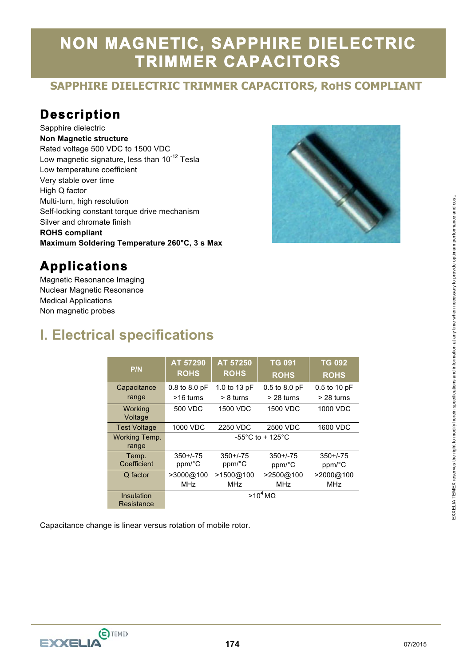# **NON MAGNETIC, SAPPHIRE DIELECTRIC TRIMMER CAPACITORS**

#### **SAPPHIRE DIELECTRIC TRIMMER CAPACITORS, RoHS COMPLIANT**

### **Description**

Sapphire dielectric **Non Magnetic structure**  Rated voltage 500 VDC to 1500 VDC Low magnetic signature, less than 10<sup>-12</sup> Tesla Low temperature coefficient Very stable over time High Q factor Multi-turn, high resolution Self-locking constant torque drive mechanism Silver and chromate finish **ROHS compliant Maximum Soldering Temperature 260°C, 3 s Max** 



#### **Applications**

Magnetic Resonance Imaging Nuclear Magnetic Resonance Medical Applications Non magnetic probes

### **I. Electrical specifications**

| P/N                           | AT 57290<br><b>ROHS</b>                | AT 57250<br><b>ROHS</b> | <b>TG 091</b><br><b>ROHS</b> | <b>TG 092</b><br><b>ROHS</b> |  |
|-------------------------------|----------------------------------------|-------------------------|------------------------------|------------------------------|--|
| Capacitance                   | $0.8$ to $8.0$ pF                      | 1.0 to 13 pF            | $0.5$ to $8.0$ pF            | $0.5$ to 10 pF               |  |
| range                         | >16 turns                              | $> 8$ turns             | > 28 turns                   | $>$ 28 turns                 |  |
| Working<br>Voltage            | 500 VDC                                | 1500 VDC                | 1500 VDC                     | 1000 VDC                     |  |
| <b>Test Voltage</b>           | 1000 VDC                               | 2250 VDC                | 2500 VDC                     | 1600 VDC                     |  |
| <b>Working Temp.</b><br>range | -55 $^{\circ}$ C to + 125 $^{\circ}$ C |                         |                              |                              |  |
| Temp.                         | $350 + 75$                             | $350 + 75$              | $350 + 75$                   | $350 + 75$                   |  |
| Coefficient                   | ppm/°C                                 | ppm/°C                  | ppm/°C                       | ppm/°C                       |  |
| Q factor                      | >3000@100                              | >1500@100               | >2500@100                    | >2000@100                    |  |
|                               | MHz                                    | MHz                     | MHz                          | <b>MHz</b>                   |  |
| Insulation                    | $>10^4$ MQ                             |                         |                              |                              |  |
| Resistance                    |                                        |                         |                              |                              |  |

Capacitance change is linear versus rotation of mobile rotor.



 $\overline{a}$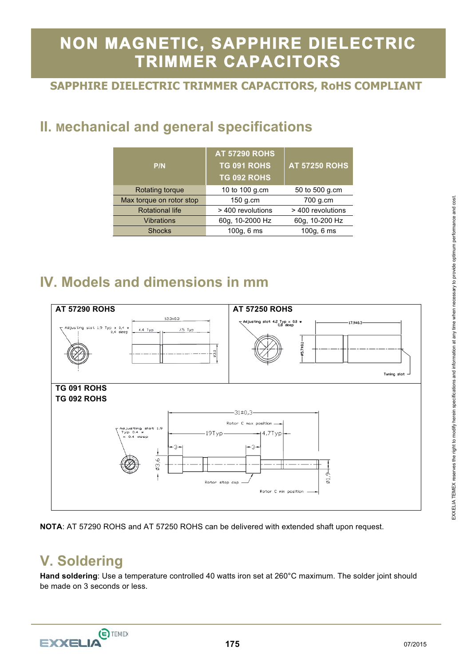# **NON MAGNETIC, SAPPHIRE DIELECTRIC TRIMMER CAPACITORS**

#### **SAPPHIRE DIELECTRIC TRIMMER CAPACITORS, RoHS COMPLIANT**

# **II. Mechanical and general specifications**

| P/N                      | <b>AT 57290 ROHS</b><br>TG 091 ROHS<br>TG 092 ROHS | <b>AT 57250 ROHS</b> |  |
|--------------------------|----------------------------------------------------|----------------------|--|
| Rotating torque          | 10 to 100 g.cm                                     | 50 to 500 g.cm       |  |
| Max torque on rotor stop | 150 g.cm                                           | 700 g.cm             |  |
| <b>Rotational life</b>   | > 400 revolutions                                  | > 400 revolutions    |  |
| <b>Vibrations</b>        | 60g, 10-2000 Hz                                    | 60g, 10-200 Hz       |  |
| <b>Shocks</b>            | 100g, 6 ms                                         | 100q, 6ms            |  |

## **IV. Models and dimensions in mm**



**NOTA**: AT 57290 ROHS and AT 57250 ROHS can be delivered with extended shaft upon request.

## **V. Soldering**

**Hand soldering**: Use a temperature controlled 40 watts iron set at 260°C maximum. The solder joint should be made on 3 seconds or less.

 $\overline{a}$